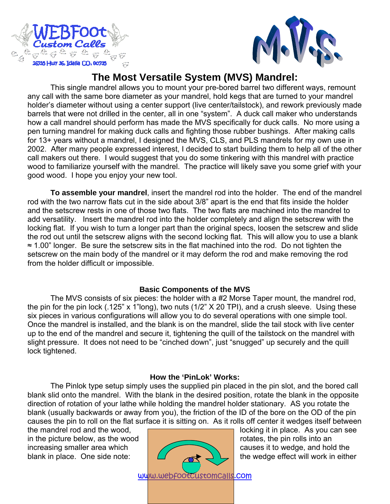



# **The Most Versatile System (MVS) Mandrel:**

This single mandrel allows you to mount your pre-bored barrel two different ways, remount any call with the same bore diameter as your mandrel, hold kegs that are turned to your mandrel holder's diameter without using a center support (live center/tailstock), and rework previously made barrels that were not drilled in the center, all in one "system". A duck call maker who understands how a call mandrel should perform has made the MVS specifically for duck calls. No more using a pen turning mandrel for making duck calls and fighting those rubber bushings. After making calls for 13+ years without a mandrel, I designed the MVS, CLS, and PLS mandrels for my own use in 2002. After many people expressed interest, I decided to start building them to help all of the other call makers out there. I would suggest that you do some tinkering with this mandrel with practice wood to familiarize yourself with the mandrel. The practice will likely save you some grief with your good wood. I hope you enjoy your new tool.

**To assemble your mandrel**, insert the mandrel rod into the holder. The end of the mandrel rod with the two narrow flats cut in the side about 3/8" apart is the end that fits inside the holder and the setscrew rests in one of those two flats. The two flats are machined into the mandrel to add versatility. Insert the mandrel rod into the holder completely and align the setscrew with the locking flat. If you wish to turn a longer part than the original specs, loosen the setscrew and slide the rod out until the setscrew aligns with the second locking flat. This will allow you to use a blank ≈ 1.00" longer. Be sure the setscrew sits in the flat machined into the rod. Do not tighten the setscrew on the main body of the mandrel or it may deform the rod and make removing the rod from the holder difficult or impossible.

# **Basic Components of the MVS**

The MVS consists of six pieces: the holder with a #2 Morse Taper mount, the mandrel rod, the pin for the pin lock (.125" x 1"long), two nuts (1/2" X 20 TPI), and a crush sleeve. Using these six pieces in various configurations will allow you to do several operations with one simple tool. Once the mandrel is installed, and the blank is on the mandrel, slide the tail stock with live center up to the end of the mandrel and secure it, tightening the quill of the tailstock on the mandrel with slight pressure. It does not need to be "cinched down", just "snugged" up securely and the quill lock tightened.

# **How the 'PinLok' Works:**

The Pinlok type setup simply uses the supplied pin placed in the pin slot, and the bored call blank slid onto the mandrel. With the blank in the desired position, rotate the blank in the opposite direction of rotation of your lathe while holding the mandrel holder stationary. AS you rotate the blank (usually backwards or away from you), the friction of the ID of the bore on the OD of the pin causes the pin to roll on the flat surface it is sitting on. As it rolls off center it wedges itself between

in the picture below, as the wood increasing smaller area which blank in place. One side note:  $\bigcup_{\text{plane}}$  causes it to wedge, and hold the



the mandrel rod and the wood,  $\sqrt{a}$  is the mandrel rod and the wood,  $\sqrt{a}$  is  $\sqrt{a}$  is  $\sqrt{a}$  is  $\sqrt{a}$  is  $\sqrt{a}$  is  $\sqrt{a}$  is  $\sqrt{a}$  is  $\sqrt{a}$  is  $\sqrt{a}$  is  $\sqrt{a}$  is  $\sqrt{a}$  is  $\sqrt{a}$  is  $\sqrt{a}$  is  $\sqrt{a}$ the wedge effect will work in either

www.webfootcustomcalls.com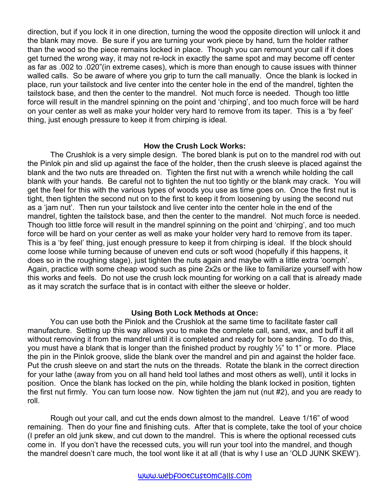direction, but if you lock it in one direction, turning the wood the opposite direction will unlock it and the blank may move. Be sure if you are turning your work piece by hand, turn the holder rather than the wood so the piece remains locked in place. Though you can remount your call if it does get turned the wrong way, it may not re-lock in exactly the same spot and may become off center as far as .002 to .020"(in extreme cases), which is more than enough to cause issues with thinner walled calls. So be aware of where you grip to turn the call manually. Once the blank is locked in place, run your tailstock and live center into the center hole in the end of the mandrel, tighten the tailstock base, and then the center to the mandrel. Not much force is needed. Though too little force will result in the mandrel spinning on the point and 'chirping', and too much force will be hard on your center as well as make your holder very hard to remove from its taper. This is a 'by feel' thing, just enough pressure to keep it from chirping is ideal.

#### **How the Crush Lock Works:**

The Crushlok is a very simple design. The bored blank is put on to the mandrel rod with out the Pinlok pin and slid up against the face of the holder, then the crush sleeve is placed against the blank and the two nuts are threaded on. Tighten the first nut with a wrench while holding the call blank with your hands. Be careful not to tighten the nut too tightly or the blank may crack. You will get the feel for this with the various types of woods you use as time goes on. Once the first nut is tight, then tighten the second nut on to the first to keep it from loosening by using the second nut as a 'jam nut'. Then run your tailstock and live center into the center hole in the end of the mandrel, tighten the tailstock base, and then the center to the mandrel. Not much force is needed. Though too little force will result in the mandrel spinning on the point and 'chirping', and too much force will be hard on your center as well as make your holder very hard to remove from its taper. This is a 'by feel' thing, just enough pressure to keep it from chirping is ideal. If the block should come loose while turning because of uneven end cuts or soft wood (hopefully if this happens, it does so in the roughing stage), just tighten the nuts again and maybe with a little extra 'oomph'. Again, practice with some cheap wood such as pine 2x2s or the like to familiarize yourself with how this works and feels. Do not use the crush lock mounting for working on a call that is already made as it may scratch the surface that is in contact with either the sleeve or holder.

#### **Using Both Lock Methods at Once:**

You can use both the Pinlok and the Crushlok at the same time to facilitate faster call manufacture. Setting up this way allows you to make the complete call, sand, wax, and buff it all without removing it from the mandrel until it is completed and ready for bore sanding. To do this, you must have a blank that is longer than the finished product by roughly ½" to 1" or more. Place the pin in the Pinlok groove, slide the blank over the mandrel and pin and against the holder face. Put the crush sleeve on and start the nuts on the threads. Rotate the blank in the correct direction for your lathe (away from you on all hand held tool lathes and most others as well), until it locks in position. Once the blank has locked on the pin, while holding the blank locked in position, tighten the first nut firmly. You can turn loose now. Now tighten the jam nut (nut #2), and you are ready to roll.

Rough out your call, and cut the ends down almost to the mandrel. Leave 1/16" of wood remaining. Then do your fine and finishing cuts. After that is complete, take the tool of your choice (I prefer an old junk skew, and cut down to the mandrel. This is where the optional recessed cuts come in. If you don't have the recessed cuts, you will run your tool into the mandrel, and though the mandrel doesn't care much, the tool wont like it at all (that is why I use an 'OLD JUNK SKEW').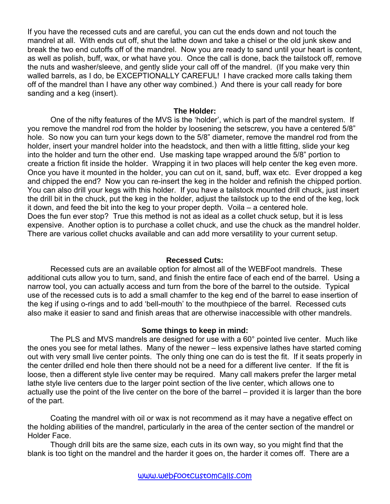If you have the recessed cuts and are careful, you can cut the ends down and not touch the mandrel at all. With ends cut off, shut the lathe down and take a chisel or the old junk skew and break the two end cutoffs off of the mandrel. Now you are ready to sand until your heart is content, as well as polish, buff, wax, or what have you. Once the call is done, back the tailstock off, remove the nuts and washer/sleeve, and gently slide your call off of the mandrel. (If you make very thin walled barrels, as I do, be EXCEPTIONALLY CAREFUL! I have cracked more calls taking them off of the mandrel than I have any other way combined.) And there is your call ready for bore sanding and a keg (insert).

### **The Holder:**

One of the nifty features of the MVS is the 'holder', which is part of the mandrel system. If you remove the mandrel rod from the holder by loosening the setscrew, you have a centered 5/8" hole. So now you can turn your kegs down to the 5/8" diameter, remove the mandrel rod from the holder, insert your mandrel holder into the headstock, and then with a little fitting, slide your keg into the holder and turn the other end. Use masking tape wrapped around the 5/8" portion to create a friction fit inside the holder. Wrapping it in two places will help center the keg even more. Once you have it mounted in the holder, you can cut on it, sand, buff, wax etc. Ever dropped a keg and chipped the end? Now you can re-insert the keg in the holder and refinish the chipped portion. You can also drill your kegs with this holder. If you have a tailstock mounted drill chuck, just insert the drill bit in the chuck, put the keg in the holder, adjust the tailstock up to the end of the keg, lock it down, and feed the bit into the keg to your proper depth. Voila – a centered hole. Does the fun ever stop? True this method is not as ideal as a collet chuck setup, but it is less expensive. Another option is to purchase a collet chuck, and use the chuck as the mandrel holder. There are various collet chucks available and can add more versatility to your current setup.

## **Recessed Cuts:**

Recessed cuts are an available option for almost all of the WEBFoot mandrels. These additional cuts allow you to turn, sand, and finish the entire face of each end of the barrel. Using a narrow tool, you can actually access and turn from the bore of the barrel to the outside. Typical use of the recessed cuts is to add a small chamfer to the keg end of the barrel to ease insertion of the keg if using o-rings and to add 'bell-mouth' to the mouthpiece of the barrel. Recessed cuts also make it easier to sand and finish areas that are otherwise inaccessible with other mandrels.

## **Some things to keep in mind:**

The PLS and MVS mandrels are designed for use with a 60° pointed live center. Much like the ones you see for metal lathes. Many of the newer – less expensive lathes have started coming out with very small live center points. The only thing one can do is test the fit. If it seats properly in the center drilled end hole then there should not be a need for a different live center. If the fit is loose, then a different style live center may be required. Many call makers prefer the larger metal lathe style live centers due to the larger point section of the live center, which allows one to actually use the point of the live center on the bore of the barrel – provided it is larger than the bore of the part.

Coating the mandrel with oil or wax is not recommend as it may have a negative effect on the holding abilities of the mandrel, particularly in the area of the center section of the mandrel or Holder Face.

Though drill bits are the same size, each cuts in its own way, so you might find that the blank is too tight on the mandrel and the harder it goes on, the harder it comes off. There are a